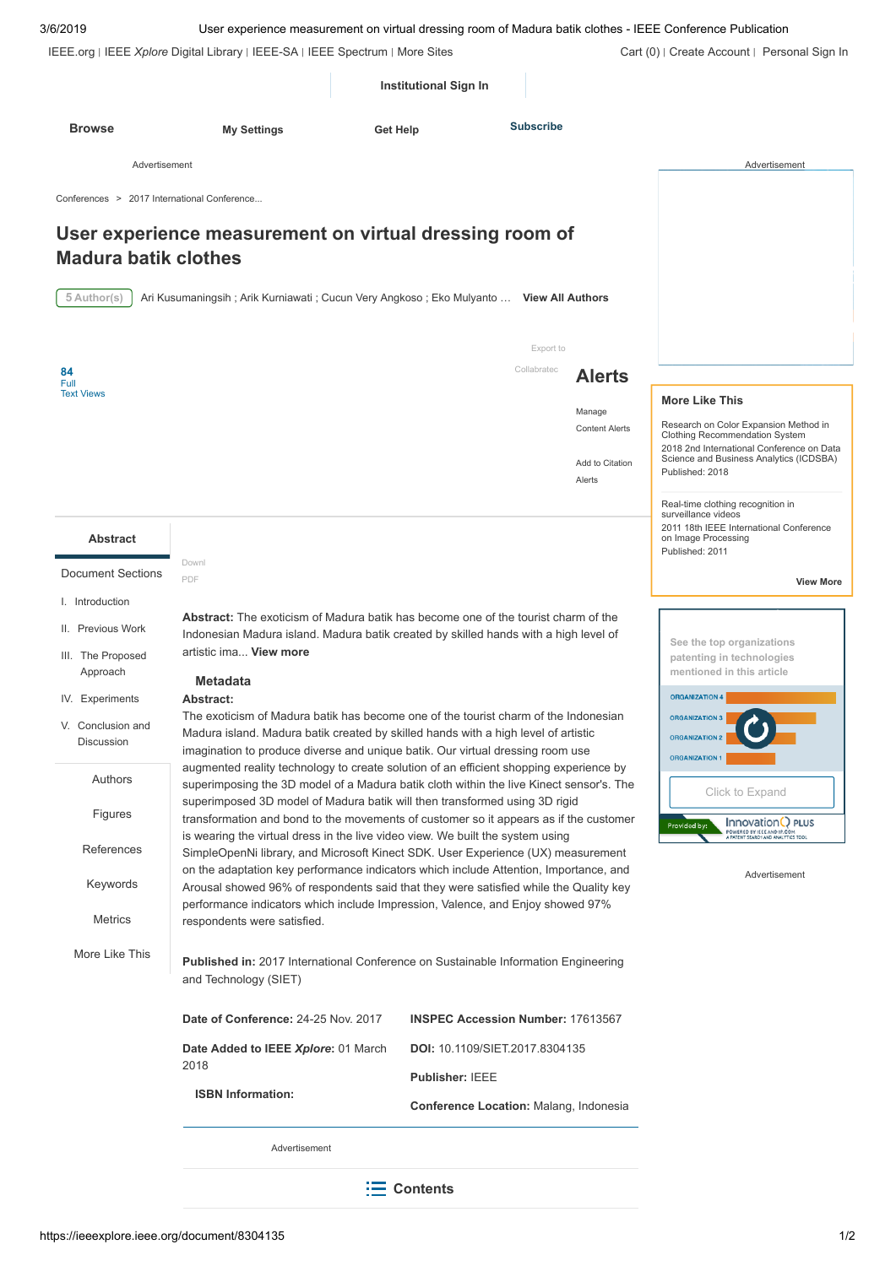| 3/6/2019                                    | User experience measurement on virtual dressing room of Madura batik clothes - IEEE Conference Publication                                                                        |                                               |                                 |                                                                                                                               |
|---------------------------------------------|-----------------------------------------------------------------------------------------------------------------------------------------------------------------------------------|-----------------------------------------------|---------------------------------|-------------------------------------------------------------------------------------------------------------------------------|
|                                             | IEEE.org   IEEE Xplore Digital Library   IEEE-SA   IEEE Spectrum   More Sites                                                                                                     |                                               |                                 | Cart (0)   Create Account   Personal Sign In                                                                                  |
|                                             |                                                                                                                                                                                   | <b>Institutional Sign In</b>                  |                                 |                                                                                                                               |
| <b>Browse</b>                               | <b>My Settings</b><br>Get Help                                                                                                                                                    | <b>Subscribe</b>                              |                                 |                                                                                                                               |
| Advertisement                               |                                                                                                                                                                                   |                                               |                                 | Advertisement                                                                                                                 |
| Conferences > 2017 International Conference |                                                                                                                                                                                   |                                               |                                 |                                                                                                                               |
|                                             | User experience measurement on virtual dressing room of                                                                                                                           |                                               |                                 |                                                                                                                               |
| <b>Madura batik clothes</b>                 |                                                                                                                                                                                   |                                               |                                 |                                                                                                                               |
| 5 Author(s)                                 | Ari Kusumaningsih; Arik Kurniawati; Cucun Very Angkoso; Eko Mulyanto  View All Authors                                                                                            |                                               |                                 |                                                                                                                               |
|                                             |                                                                                                                                                                                   |                                               |                                 |                                                                                                                               |
| 84                                          |                                                                                                                                                                                   | Export to<br>Collabratec                      | <b>Alerts</b>                   |                                                                                                                               |
| Full<br><b>Text Views</b>                   |                                                                                                                                                                                   |                                               |                                 | <b>More Like This</b>                                                                                                         |
|                                             |                                                                                                                                                                                   |                                               | Manage<br><b>Content Alerts</b> | Research on Color Expansion Method in                                                                                         |
|                                             |                                                                                                                                                                                   |                                               | Add to Citation                 | <b>Clothing Recommendation System</b><br>2018 2nd International Conference on Data<br>Science and Business Analytics (ICDSBA) |
|                                             |                                                                                                                                                                                   |                                               | Alerts                          | Published: 2018                                                                                                               |
|                                             |                                                                                                                                                                                   |                                               |                                 | Real-time clothing recognition in<br>surveillance videos                                                                      |
| <b>Abstract</b>                             |                                                                                                                                                                                   |                                               |                                 | 2011 18th IEEE International Conference<br>on Image Processing<br>Published: 2011                                             |
| <b>Document Sections</b>                    | Downl<br>PDF                                                                                                                                                                      |                                               |                                 | <b>View More</b>                                                                                                              |
| I. Introduction                             | Abstract: The exoticism of Madura batik has become one of the tourist charm of the                                                                                                |                                               |                                 |                                                                                                                               |
| II. Previous Work                           | Indonesian Madura island. Madura batik created by skilled hands with a high level of                                                                                              |                                               |                                 | See the top organizations                                                                                                     |
| III. The Proposed<br>Approach               | artistic ima View more                                                                                                                                                            |                                               |                                 | patenting in technologies<br>mentioned in this article                                                                        |
| IV. Experiments                             | <b>Metadata</b><br><b>Abstract:</b>                                                                                                                                               |                                               |                                 | <b>ORGANIZATION 4</b>                                                                                                         |
| V. Conclusion and                           | The exoticism of Madura batik has become one of the tourist charm of the Indonesian<br>Madura island. Madura batik created by skilled hands with a high level of artistic         |                                               |                                 | <b>ORGANIZATION 3</b><br><b>ORGANIZATION 2</b>                                                                                |
| <b>Discussion</b>                           | imagination to produce diverse and unique batik. Our virtual dressing room use                                                                                                    |                                               |                                 | <b>ORGANIZATION 1</b>                                                                                                         |
| Authors                                     | augmented reality technology to create solution of an efficient shopping experience by<br>superimposing the 3D model of a Madura batik cloth within the live Kinect sensor's. The |                                               |                                 | Click to Expand                                                                                                               |
| Figures                                     | superimposed 3D model of Madura batik will then transformed using 3D rigid<br>transformation and bond to the movements of customer so it appears as if the customer               |                                               |                                 | Innovation <sup>(2)</sup> PLUS<br>Provided by:                                                                                |
| References                                  | is wearing the virtual dress in the live video view. We built the system using<br>SimpleOpenNi library, and Microsoft Kinect SDK. User Experience (UX) measurement                |                                               |                                 | POWERED BY IEEE AND IP.COM                                                                                                    |
| Keywords                                    | on the adaptation key performance indicators which include Attention, Importance, and                                                                                             |                                               |                                 | Advertisement                                                                                                                 |
|                                             | Arousal showed 96% of respondents said that they were satisfied while the Quality key<br>performance indicators which include Impression, Valence, and Enjoy showed 97%           |                                               |                                 |                                                                                                                               |
| <b>Metrics</b>                              | respondents were satisfied.                                                                                                                                                       |                                               |                                 |                                                                                                                               |
| More Like This                              | Published in: 2017 International Conference on Sustainable Information Engineering<br>and Technology (SIET)                                                                       |                                               |                                 |                                                                                                                               |
|                                             | Date of Conference: 24-25 Nov. 2017                                                                                                                                               | <b>INSPEC Accession Number: 17613567</b>      |                                 |                                                                                                                               |
|                                             | Date Added to IEEE Xplore: 01 March                                                                                                                                               | <b>DOI: 10.1109/SIET.2017.8304135</b>         |                                 |                                                                                                                               |
|                                             | 2018                                                                                                                                                                              | <b>Publisher: IEEE</b>                        |                                 |                                                                                                                               |
|                                             | <b>ISBN Information:</b>                                                                                                                                                          | <b>Conference Location: Malang, Indonesia</b> |                                 |                                                                                                                               |
|                                             | Advertisement                                                                                                                                                                     |                                               |                                 |                                                                                                                               |
|                                             |                                                                                                                                                                                   |                                               |                                 |                                                                                                                               |
|                                             |                                                                                                                                                                                   | $\equiv$ Contents                             |                                 |                                                                                                                               |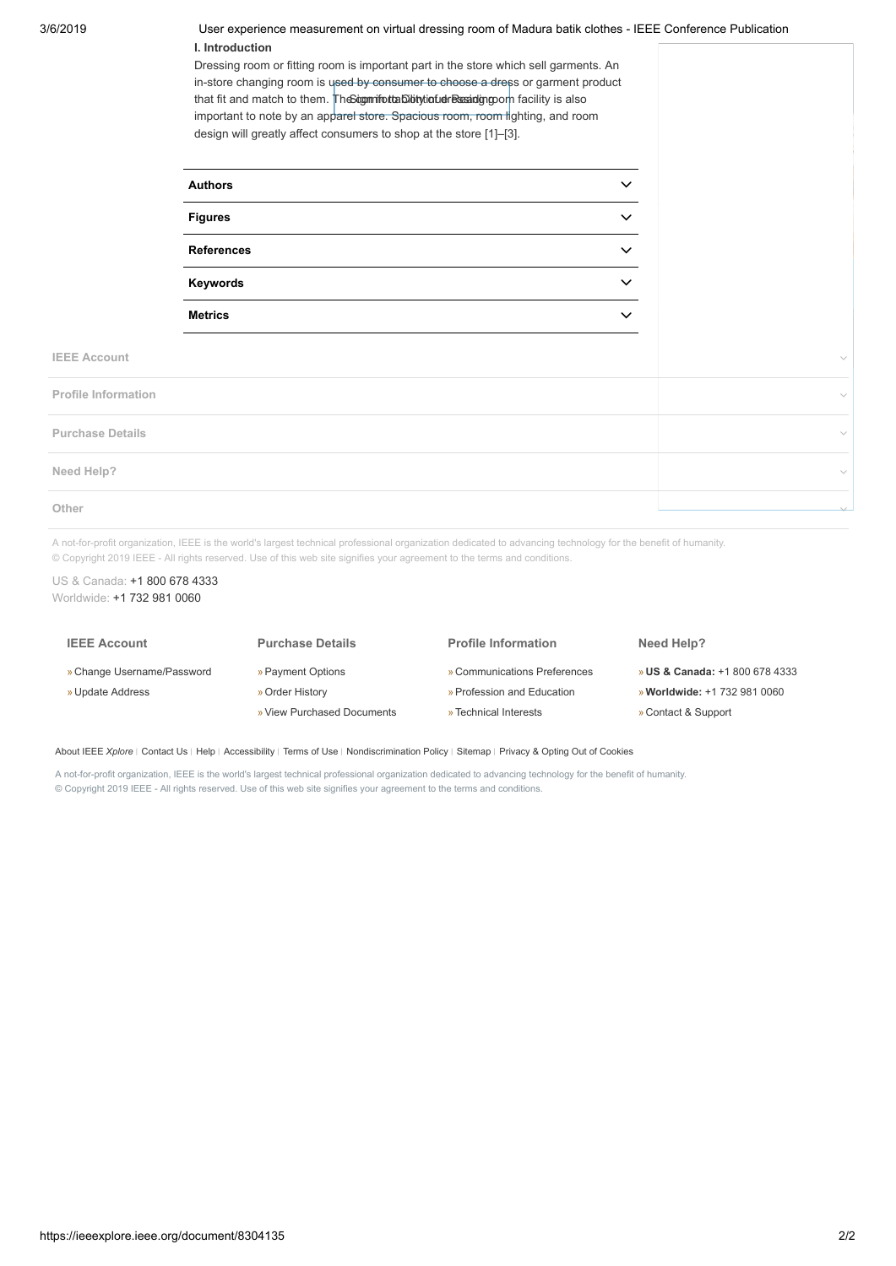3/6/2019 User experience measurement on virtual dressing room of Madura batik clothes - IEEE Conference Publication **I. Introduction**

> Dressing room or fitting room is important part in the store which sell garments. An in-store changing room is used by consumer to choose a dress or garment product that fit and match to them. TheSognmiforttability tinfuelressandig room facility is also important to note by an apparel store. Spacious room, room lighting, and room design will greatly affect consumers to shop at the store [1]–[3].

| <b>Authors</b>    | $\checkmark$ |
|-------------------|--------------|
| <b>Figures</b>    | $\checkmark$ |
| <b>References</b> | $\checkmark$ |
| Keywords          | $\checkmark$ |
| <b>Metrics</b>    | ◡            |

**IEEE Account**

| <b>Profile Information</b> | $\checkmark$ |
|----------------------------|--------------|
| <b>Purchase Details</b>    | $\checkmark$ |
| Need Help?                 | $\checkmark$ |
| Other                      | $\checkmark$ |

A not-for-profit organization, IEEE is the world's largest technical professional organization dedicated to advancing technology for the benefit of humanity. © Copyright 2019 IEEE - All rights reserved. Use of this web site signifies your agreement to the terms and conditions.

US & Canada: [+1 800 678 4333](tel:+18006784333) Worldwide: [+1 732 981 0060](tel:+17329810060)

| <b>IEEE Account</b>        | <b>Purchase Details</b>    | <b>Profile Information</b>   | Need Help?                                |
|----------------------------|----------------------------|------------------------------|-------------------------------------------|
| » Change Username/Password | » Payment Options          | » Communications Preferences | <b>» US &amp; Canada: +1 800 678 4333</b> |
| » Update Address           | » Order History            | » Profession and Education   | » Worldwide: +1 732 981 0060              |
|                            | » View Purchased Documents | » Technical Interests        | » Contact & Support                       |

[About IEEE](https://ieeexplore.ieee.org/Xplorehelp/about-ieee-xplore.html) *Xplore* | [Contact Us](https://ieeexplore.ieee.org/xpl/techform.jsp) | [Help](https://ieeexplore.ieee.org/Xplorehelp/Help_start.html) | [Accessibility](https://ieeexplore.ieee.org/Xplorehelp/accessibility-statement.html) | [Terms of Use](https://ieeexplore.ieee.org/Xplorehelp/Help_Terms_of_Use.html) | [Nondiscrimination Policy](http://www.ieee.org/web/aboutus/whatis/policies/p9-26.html) | [Sitemap](https://ieeexplore.ieee.org/xpl/sitemap.jsp) | [Privacy & Opting Out of Cookies](http://www.ieee.org/about/help/security_privacy.html)

A not-for-profit organization, IEEE is the world's largest technical professional organization dedicated to advancing technology for the benefit of humanity. © Copyright 2019 IEEE - All rights reserved. Use of this web site signifies your agreement to the terms and conditions.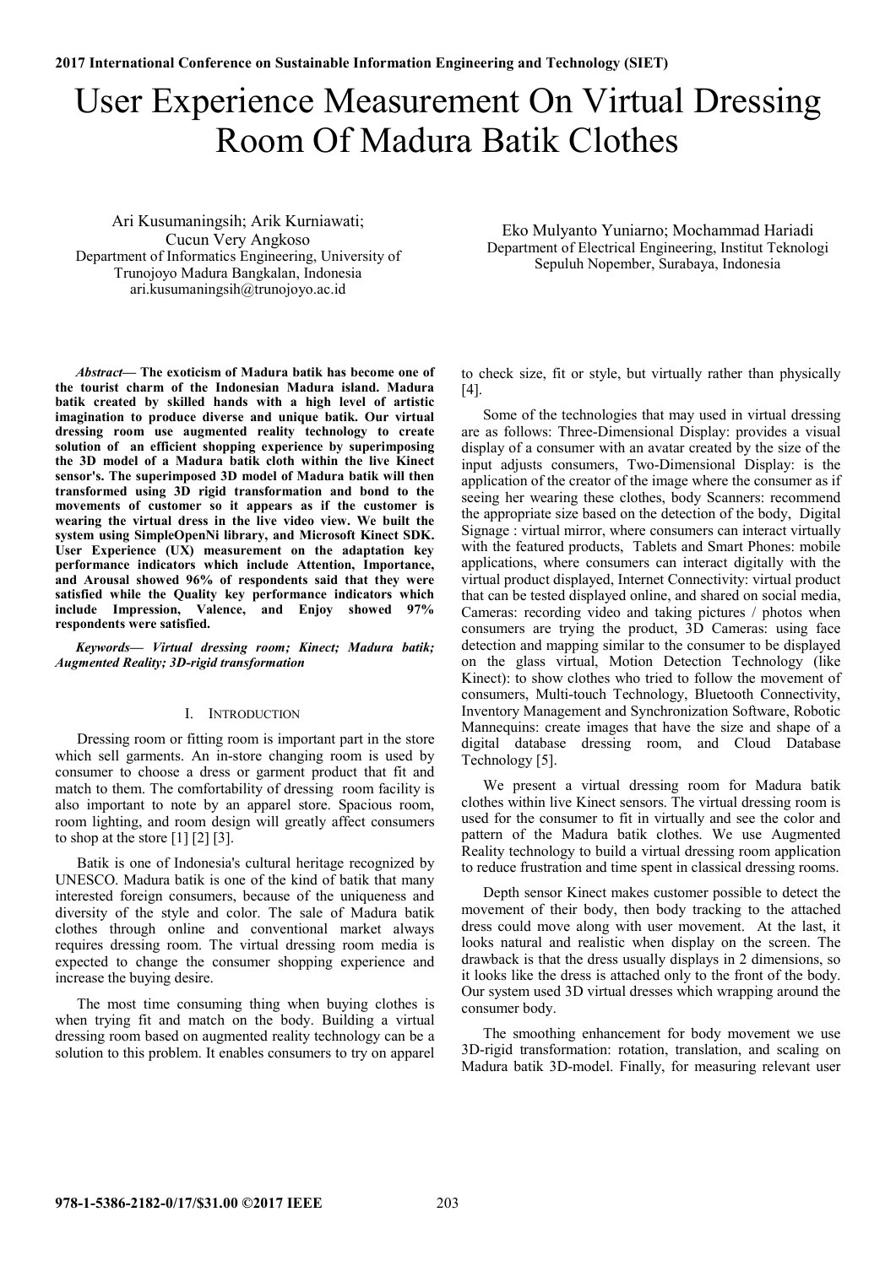# User Experience Measurement On Virtual Dressing Room Of Madura Batik Clothes

Ari Kusumaningsih; Arik Kurniawati; Cucun Very Angkoso Department of Informatics Engineering, University of Trunojoyo Madura Bangkalan, Indonesia ari.kusumaningsih@trunojoyo.ac.id

*Abstract***— The exoticism of Madura batik has become one of the tourist charm of the Indonesian Madura island. Madura batik created by skilled hands with a high level of artistic imagination to produce diverse and unique batik. Our virtual dressing room use augmented reality technology to create solution of an efficient shopping experience by superimposing the 3D model of a Madura batik cloth within the live Kinect sensor's. The superimposed 3D model of Madura batik will then transformed using 3D rigid transformation and bond to the movements of customer so it appears as if the customer is wearing the virtual dress in the live video view. We built the system using SimpleOpenNi library, and Microsoft Kinect SDK. User Experience (UX) measurement on the adaptation key performance indicators which include Attention, Importance, and Arousal showed 96% of respondents said that they were satisfied while the Quality key performance indicators which include Impression, Valence, and Enjoy showed 97% respondents were satisfied.** 

*Keywords— Virtual dressing room; Kinect; Madura batik; Augmented Reality; 3D-rigid transformation* 

### I. INTRODUCTION

Dressing room or fitting room is important part in the store which sell garments. An in-store changing room is used by consumer to choose a dress or garment product that fit and match to them. The comfortability of dressing room facility is also important to note by an apparel store. Spacious room, room lighting, and room design will greatly affect consumers to shop at the store  $\lceil 1 \rceil \lceil 2 \rceil \lceil 3 \rceil$ .

Batik is one of Indonesia's cultural heritage recognized by UNESCO. Madura batik is one of the kind of batik that many interested foreign consumers, because of the uniqueness and diversity of the style and color. The sale of Madura batik clothes through online and conventional market always requires dressing room. The virtual dressing room media is expected to change the consumer shopping experience and increase the buying desire.

The most time consuming thing when buying clothes is when trying fit and match on the body. Building a virtual dressing room based on augmented reality technology can be a solution to this problem. It enables consumers to try on apparel

Eko Mulyanto Yuniarno; Mochammad Hariadi Department of Electrical Engineering, Institut Teknologi Sepuluh Nopember, Surabaya, Indonesia

to check size, fit or style, but virtually rather than physically [4].

Some of the technologies that may used in virtual dressing are as follows: Three-Dimensional Display: provides a visual display of a consumer with an avatar created by the size of the input adjusts consumers, Two-Dimensional Display: is the application of the creator of the image where the consumer as if seeing her wearing these clothes, body Scanners: recommend the appropriate size based on the detection of the body, Digital Signage : virtual mirror, where consumers can interact virtually with the featured products, Tablets and Smart Phones: mobile applications, where consumers can interact digitally with the virtual product displayed, Internet Connectivity: virtual product that can be tested displayed online, and shared on social media, Cameras: recording video and taking pictures / photos when consumers are trying the product, 3D Cameras: using face detection and mapping similar to the consumer to be displayed on the glass virtual, Motion Detection Technology (like Kinect): to show clothes who tried to follow the movement of consumers, Multi-touch Technology, Bluetooth Connectivity, Inventory Management and Synchronization Software, Robotic Mannequins: create images that have the size and shape of a digital database dressing room, and Cloud Database Technology [5].

We present a virtual dressing room for Madura batik clothes within live Kinect sensors. The virtual dressing room is used for the consumer to fit in virtually and see the color and pattern of the Madura batik clothes. We use Augmented Reality technology to build a virtual dressing room application to reduce frustration and time spent in classical dressing rooms.

Depth sensor Kinect makes customer possible to detect the movement of their body, then body tracking to the attached dress could move along with user movement. At the last, it looks natural and realistic when display on the screen. The drawback is that the dress usually displays in 2 dimensions, so it looks like the dress is attached only to the front of the body. Our system used 3D virtual dresses which wrapping around the consumer body.

The smoothing enhancement for body movement we use 3D-rigid transformation: rotation, translation, and scaling on Madura batik 3D-model. Finally, for measuring relevant user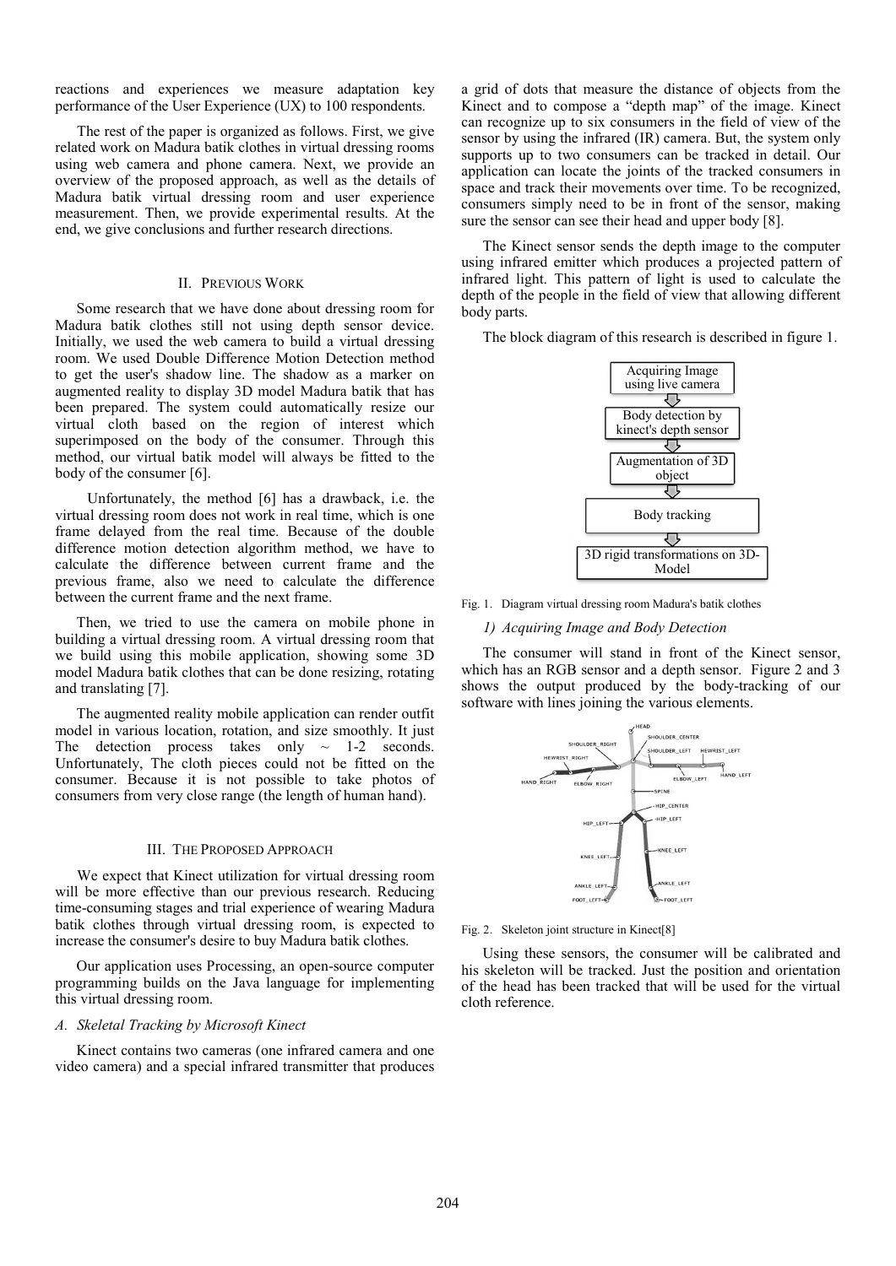reactions and experiences we measure adaptation key performance of the User Experience (UX) to 100 respondents.

The rest of the paper is organized as follows. First, we give related work on Madura batik clothes in virtual dressing rooms using web camera and phone camera. Next, we provide an overview of the proposed approach, as well as the details of Madura batik virtual dressing room and user experience measurement. Then, we provide experimental results. At the end, we give conclusions and further research directions.

### II. PREVIOUS WORK

Some research that we have done about dressing room for Madura batik clothes still not using depth sensor device. Initially, we used the web camera to build a virtual dressing room. We used Double Difference Motion Detection method to get the user's shadow line. The shadow as a marker on augmented reality to display 3D model Madura batik that has been prepared. The system could automatically resize our virtual cloth based on the region of interest which superimposed on the body of the consumer. Through this method, our virtual batik model will always be fitted to the body of the consumer [6].

Unfortunately, the method [6] has a drawback, i.e. the virtual dressing room does not work in real time, which is one frame delayed from the real time. Because of the double difference motion detection algorithm method, we have to calculate the difference between current frame and the previous frame, also we need to calculate the difference between the current frame and the next frame.

Then, we tried to use the camera on mobile phone in building a virtual dressing room. A virtual dressing room that we build using this mobile application, showing some 3D model Madura batik clothes that can be done resizing, rotating and translating [7].

The augmented reality mobile application can render outfit model in various location, rotation, and size smoothly. It just The detection process takes only  $\sim$  1-2 seconds. Unfortunately, The cloth pieces could not be fitted on the consumer. Because it is not possible to take photos of consumers from very close range (the length of human hand).

## III. THE PROPOSED APPROACH

We expect that Kinect utilization for virtual dressing room will be more effective than our previous research. Reducing time-consuming stages and trial experience of wearing Madura batik clothes through virtual dressing room, is expected to increase the consumer's desire to buy Madura batik clothes.

Our application uses Processing, an open-source computer programming builds on the Java language for implementing this virtual dressing room.

#### *A. Skeletal Tracking by Microsoft Kinect*

Kinect contains two cameras (one infrared camera and one video camera) and a special infrared transmitter that produces a grid of dots that measure the distance of objects from the Kinect and to compose a "depth map" of the image. Kinect can recognize up to six consumers in the field of view of the sensor by using the infrared (IR) camera. But, the system only supports up to two consumers can be tracked in detail. Our application can locate the joints of the tracked consumers in space and track their movements over time. To be recognized, consumers simply need to be in front of the sensor, making sure the sensor can see their head and upper body [8].

The Kinect sensor sends the depth image to the computer using infrared emitter which produces a projected pattern of infrared light. This pattern of light is used to calculate the depth of the people in the field of view that allowing different body parts.

The block diagram of this research is described in figure 1.



Fig. 1. Diagram virtual dressing room Madura's batik clothes

### *1) Acquiring Image and Body Detection*

The consumer will stand in front of the Kinect sensor, which has an RGB sensor and a depth sensor. Figure 2 and 3 shows the output produced by the body-tracking of our software with lines joining the various elements.



Fig. 2. Skeleton joint structure in Kinect[8]

Using these sensors, the consumer will be calibrated and his skeleton will be tracked. Just the position and orientation of the head has been tracked that will be used for the virtual cloth reference.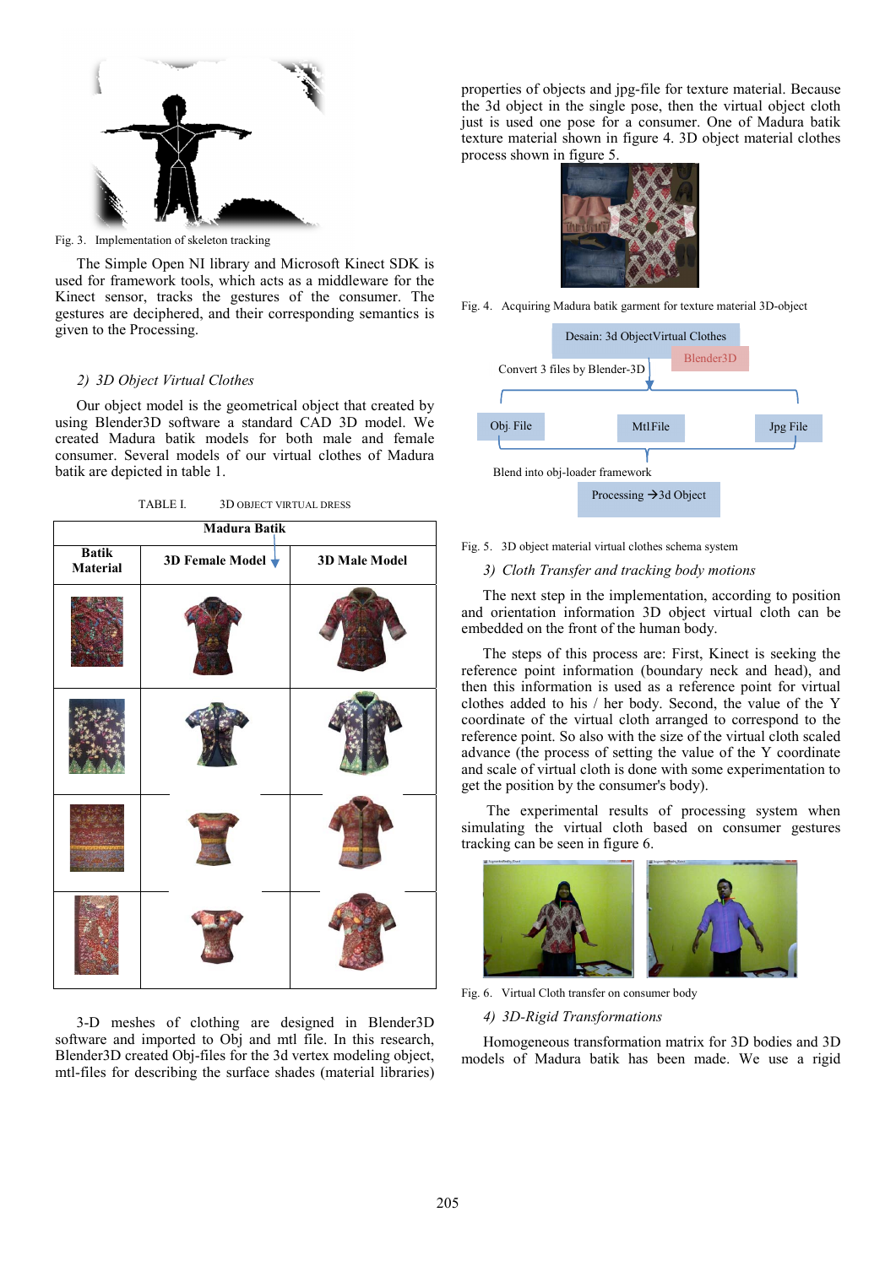

Fig. 3. Implementation of skeleton tracking

The Simple Open NI library and Microsoft Kinect SDK is used for framework tools, which acts as a middleware for the Kinect sensor, tracks the gestures of the consumer. The gestures are deciphered, and their corresponding semantics is given to the Processing.

## *2) 3D Object Virtual Clothes*

Our object model is the geometrical object that created by using Blender3D software a standard CAD 3D model. We created Madura batik models for both male and female consumer. Several models of our virtual clothes of Madura batik are depicted in table 1.

TABLE I. 3D OBJECT VIRTUAL DRESS

| <b>Madura Batik</b>      |                                    |               |  |  |
|--------------------------|------------------------------------|---------------|--|--|
| <b>Batik</b><br>Material | 3D Female Model $\bigtriangledown$ | 3D Male Model |  |  |
|                          |                                    |               |  |  |
|                          |                                    |               |  |  |
|                          |                                    |               |  |  |
|                          |                                    |               |  |  |

3-D meshes of clothing are designed in Blender3D software and imported to Obj and mtl file. In this research, Blender3D created Obj-files for the 3d vertex modeling object, mtl-files for describing the surface shades (material libraries)

properties of objects and jpg-file for texture material. Because the 3d object in the single pose, then the virtual object cloth just is used one pose for a consumer. One of Madura batik texture material shown in figure 4. 3D object material clothes process shown in figure 5.



Fig. 4. Acquiring Madura batik garment for texture material 3D-object



Fig. 5. 3D object material virtual clothes schema system

# *3) Cloth Transfer and tracking body motions*

The next step in the implementation, according to position and orientation information 3D object virtual cloth can be embedded on the front of the human body.

The steps of this process are: First, Kinect is seeking the reference point information (boundary neck and head), and then this information is used as a reference point for virtual clothes added to his / her body. Second, the value of the Y coordinate of the virtual cloth arranged to correspond to the reference point. So also with the size of the virtual cloth scaled advance (the process of setting the value of the Y coordinate and scale of virtual cloth is done with some experimentation to get the position by the consumer's body).

 The experimental results of processing system when simulating the virtual cloth based on consumer gestures tracking can be seen in figure 6.



Fig. 6. Virtual Cloth transfer on consumer body

## *4) 3D-Rigid Transformations*

Homogeneous transformation matrix for 3D bodies and 3D models of Madura batik has been made. We use a rigid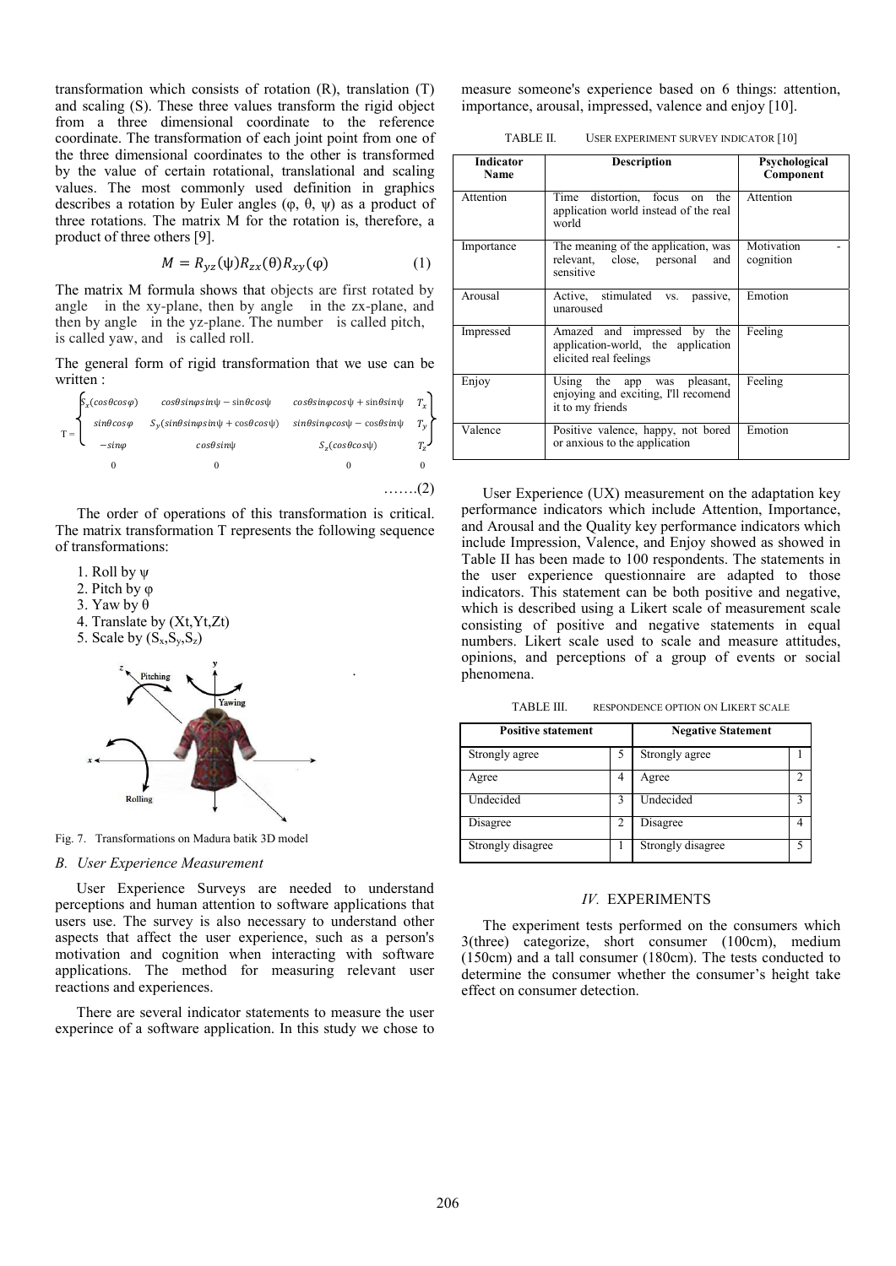transformation which consists of rotation (R), translation (T) and scaling (S). These three values transform the rigid object from a three dimensional coordinate to the reference coordinate. The transformation of each joint point from one of the three dimensional coordinates to the other is transformed by the value of certain rotational, translational and scaling values. The most commonly used definition in graphics describes a rotation by Euler angles  $(\varphi, \theta, \psi)$  as a product of three rotations. The matrix M for the rotation is, therefore, a product of three others [9].

$$
M = R_{yz}(\psi)R_{zx}(\theta)R_{xy}(\phi) \tag{1}
$$

.

The matrix M formula shows that objects are first rotated by angle in the xy-plane, then by angle in the zx-plane, and then by angle in the yz-plane. The number is called pitch, is called yaw, and is called roll.

The general form of rigid transformation that we use can be written :

| $S_x(cos\theta cos\varphi)$                                         | $cos\theta sin\varphi sin\psi - sin\theta cos\psi$      | $cos\theta sin\varphi cos\psi + sin\theta sin\psi$ | $T_x$       |
|---------------------------------------------------------------------|---------------------------------------------------------|----------------------------------------------------|-------------|
| $T = \begin{cases} sin\theta cos\varphi \\ -sin\varphi \end{cases}$ | $S_v(sin\theta sin\varphi sin\psi + cos\theta cos\psi)$ | $sin\theta sin\varphi cos\psi - cos\theta sin\psi$ | $T_{y}$     |
|                                                                     | $cos\theta sin\psi$                                     | $Sz(cos\theta cos\psi)$                            | $T_{\rm z}$ |
|                                                                     |                                                         |                                                    |             |
|                                                                     |                                                         |                                                    |             |

The order of operations of this transformation is critical. The matrix transformation T represents the following sequence of transformations:

- 1. Roll by  $\Psi$
- 2. Pitch by  $\varphi$
- 3. Yaw by  $\theta$
- 4. Translate by (Xt,Yt,Zt)
- 5. Scale by  $(S_x, S_y, S_z)$



Fig. 7. Transformations on Madura batik 3D model

#### *B. User Experience Measurement*

User Experience Surveys are needed to understand perceptions and human attention to software applications that users use. The survey is also necessary to understand other aspects that affect the user experience, such as a person's motivation and cognition when interacting with software applications. The method for measuring relevant user reactions and experiences.

There are several indicator statements to measure the user experince of a software application. In this study we chose to

measure someone's experience based on 6 things: attention, importance, arousal, impressed, valence and enjoy [10].

TABLE II. USER EXPERIMENT SURVEY INDICATOR [10]

| <b>Indicator</b><br>Name | <b>Description</b>                                                                          | Psychological<br>Component |
|--------------------------|---------------------------------------------------------------------------------------------|----------------------------|
| Attention                | Time distortion, focus on the<br>application world instead of the real<br>world             | Attention                  |
| Importance               | The meaning of the application, was<br>relevant, close, personal<br>and<br>sensitive        | Motivation<br>cognition    |
| Arousal                  | Active, stimulated vs.<br>passive,<br>unaroused                                             | Emotion                    |
| Impressed                | Amazed and impressed by the<br>application-world, the application<br>elicited real feelings | Feeling                    |
| Enjoy                    | Using the app was pleasant,<br>enjoying and exciting. I'll recomend<br>it to my friends     | Feeling                    |
| Valence                  | Positive valence, happy, not bored<br>or anxious to the application                         | Emotion                    |

User Experience (UX) measurement on the adaptation key performance indicators which include Attention, Importance, and Arousal and the Quality key performance indicators which include Impression, Valence, and Enjoy showed as showed in Table II has been made to 100 respondents. The statements in the user experience questionnaire are adapted to those indicators. This statement can be both positive and negative, which is described using a Likert scale of measurement scale consisting of positive and negative statements in equal numbers. Likert scale used to scale and measure attitudes, opinions, and perceptions of a group of events or social phenomena.

TABLE III. RESPONDENCE OPTION ON LIKERT SCALE

| <b>Positive statement</b> |   | <b>Negative Statement</b> |  |
|---------------------------|---|---------------------------|--|
| Strongly agree            | 5 | Strongly agree            |  |
| Agree                     | 4 | Agree                     |  |
| Undecided                 |   | Undecided                 |  |
| Disagree                  | 2 | Disagree                  |  |
| Strongly disagree         |   | Strongly disagree         |  |

## *IV.* EXPERIMENTS

The experiment tests performed on the consumers which 3(three) categorize, short consumer (100cm), medium (150cm) and a tall consumer (180cm). The tests conducted to determine the consumer whether the consumer's height take effect on consumer detection.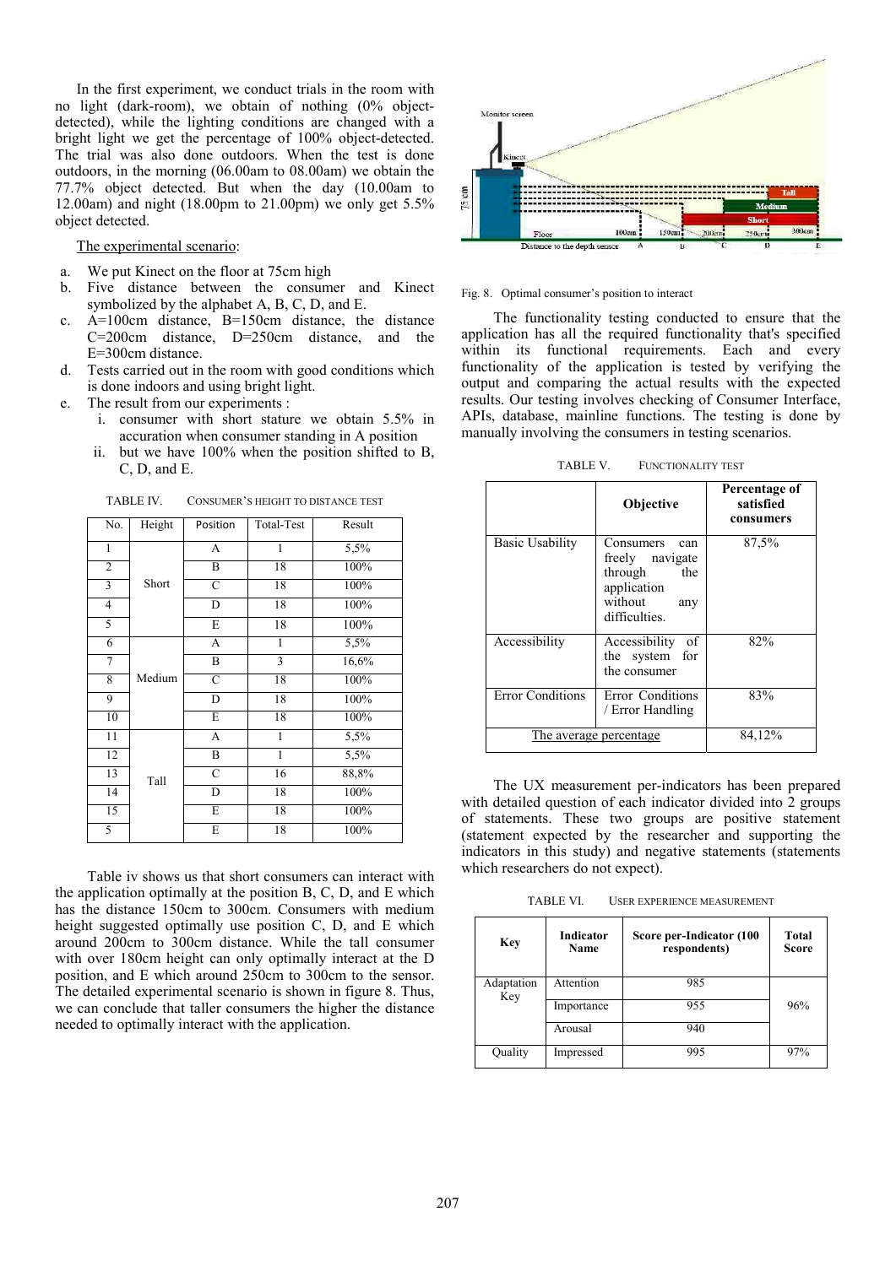In the first experiment, we conduct trials in the room with no light (dark-room), we obtain of nothing (0% objectdetected), while the lighting conditions are changed with a bright light we get the percentage of 100% object-detected. The trial was also done outdoors. When the test is done outdoors, in the morning (06.00am to 08.00am) we obtain the 77.7% object detected. But when the day (10.00am to 12.00am) and night (18.00pm to 21.00pm) we only get 5.5% object detected.

The experimental scenario:

- a. We put Kinect on the floor at 75cm high
- b. Five distance between the consumer and Kinect symbolized by the alphabet A, B, C, D, and E.
- c. A=100cm distance, B=150cm distance, the distance C=200cm distance, D=250cm distance, and the E=300cm distance.
- d. Tests carried out in the room with good conditions which is done indoors and using bright light.
- e. The result from our experiments :
	- i. consumer with short stature we obtain 5.5% in accuration when consumer standing in A position
	- ii. but we have 100% when the position shifted to B, C, D, and E.

| No.             | Height | Position                | Total-Test   | Result |
|-----------------|--------|-------------------------|--------------|--------|
| $\mathbf{1}$    |        | A                       | $\mathbf{1}$ | 5,5%   |
| $\overline{c}$  |        | B                       | 18           | 100%   |
| $\overline{3}$  | Short  | C                       | 18           | 100%   |
| $\overline{4}$  |        | D                       | 18           | 100%   |
| 5               |        | E                       | 18           | 100%   |
| 6               |        | A                       | 1            | 5,5%   |
| $\overline{7}$  |        | B                       | 3            | 16,6%  |
| 8               | Medium | C                       | 18           | 100%   |
| 9               |        | $\overline{\mathbf{D}}$ | 18           | 100%   |
| 10              |        | E                       | 18           | 100%   |
| 11              |        | A                       | 1            | 5,5%   |
| $\overline{12}$ |        | B                       | $\mathbf{1}$ | 5,5%   |
| 13              | Tall   | $\overline{C}$          | 16           | 88,8%  |
| 14              |        | D                       | 18           | 100%   |
| 15              |        | E                       | 18           | 100%   |
| 5               |        | E                       | 18           | 100%   |

TABLE IV. CONSUMER'S HEIGHT TO DISTANCE TEST

Table iv shows us that short consumers can interact with the application optimally at the position B, C, D, and E which has the distance 150cm to 300cm. Consumers with medium height suggested optimally use position C, D, and E which around 200cm to 300cm distance. While the tall consumer with over 180cm height can only optimally interact at the D position, and E which around 250cm to 300cm to the sensor. The detailed experimental scenario is shown in figure 8. Thus, we can conclude that taller consumers the higher the distance needed to optimally interact with the application.



Fig. 8. Optimal consumer's position to interact

The functionality testing conducted to ensure that the application has all the required functionality that's specified within its functional requirements. Each and every functionality of the application is tested by verifying the output and comparing the actual results with the expected results. Our testing involves checking of Consumer Interface, APIs, database, mainline functions. The testing is done by manually involving the consumers in testing scenarios.

|                        | Objective                                                                                               | Percentage of<br>satisfied<br>consumers |
|------------------------|---------------------------------------------------------------------------------------------------------|-----------------------------------------|
| <b>Basic Usability</b> | Consumers<br>can<br>freely navigate<br>through<br>the<br>application<br>without<br>any<br>difficulties. | 87,5%                                   |
| Accessibility          | Accessibility<br>of<br>the system for<br>the consumer                                                   | 82%                                     |
| Error Conditions       | Error Conditions<br>/ Error Handling                                                                    | 83%                                     |
| The average percentage | 84,12%                                                                                                  |                                         |

TABLE V. FUNCTIONALITY TEST

The UX measurement per-indicators has been prepared with detailed question of each indicator divided into 2 groups of statements. These two groups are positive statement (statement expected by the researcher and supporting the indicators in this study) and negative statements (statements which researchers do not expect).

TABLE VI. USER EXPERIENCE MEASUREMENT

| <b>Key</b>        | <b>Indicator</b><br><b>Name</b> | Score per-Indicator (100<br>respondents) | <b>Total</b><br><b>Score</b> |
|-------------------|---------------------------------|------------------------------------------|------------------------------|
| Adaptation<br>Key | Attention                       | 985                                      |                              |
|                   | Importance                      | 955                                      | 96%                          |
|                   | Arousal                         | 940                                      |                              |
| Quality           | Impressed                       | 995                                      | 97%                          |